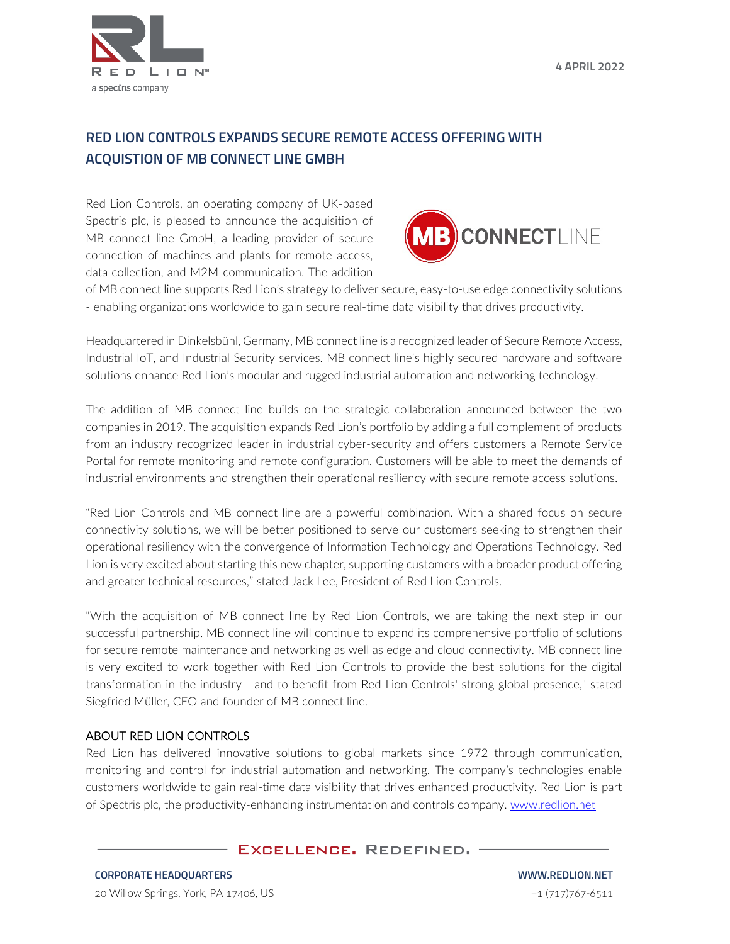

## **RED LION CONTROLS EXPANDS SECURE REMOTE ACCESS OFFERING WITH ACQUISTION OF MB CONNECT LINE GMBH**

Red Lion Controls, an operating company of UK-based Spectris plc, is pleased to announce the acquisition of MB connect line GmbH, a leading provider of secure connection of machines and plants for remote access, data collection, and M2M-communication. The addition



of MB connect line supports Red Lion's strategy to deliver secure, easy-to-use edge connectivity solutions - enabling organizations worldwide to gain secure real-time data visibility that drives productivity.

Headquartered in Dinkelsbühl, Germany, MB connect line is a recognized leader of Secure Remote Access, Industrial IoT, and Industrial Security services. MB connect line's highly secured hardware and software solutions enhance Red Lion's modular and rugged industrial automation and networking technology.

The addition of MB connect line builds on the strategic collaboration announced between the two companies in 2019. The acquisition expands Red Lion's portfolio by adding a full complement of products from an industry recognized leader in industrial cyber-security and offers customers a Remote Service Portal for remote monitoring and remote configuration. Customers will be able to meet the demands of industrial environments and strengthen their operational resiliency with secure remote access solutions.

"Red Lion Controls and MB connect line are a powerful combination. With a shared focus on secure connectivity solutions, we will be better positioned to serve our customers seeking to strengthen their operational resiliency with the convergence of Information Technology and Operations Technology. Red Lion is very excited about starting this new chapter, supporting customers with a broader product offering and greater technical resources," stated Jack Lee, President of Red Lion Controls.

"With the acquisition of MB connect line by Red Lion Controls, we are taking the next step in our successful partnership. MB connect line will continue to expand its comprehensive portfolio of solutions for secure remote maintenance and networking as well as edge and cloud connectivity. MB connect line is very excited to work together with Red Lion Controls to provide the best solutions for the digital transformation in the industry - and to benefit from Red Lion Controls' strong global presence," stated Siegfried Müller, CEO and founder of MB connect line.

## ABOUT RED LION CONTROLS

Red Lion has delivered innovative solutions to global markets since 1972 through communication, monitoring and control for industrial automation and networking. The company's technologies enable customers worldwide to gain real-time data visibility that drives enhanced productivity. Red Lion is part of Spectris plc, the productivity-enhancing instrumentation and controls company. [www.redlion.net](http://www.redlion.net/)

## **EXCELLENCE. REDEFINED. -**

**WWW.REDLION.NET** +1 (717)767-6511